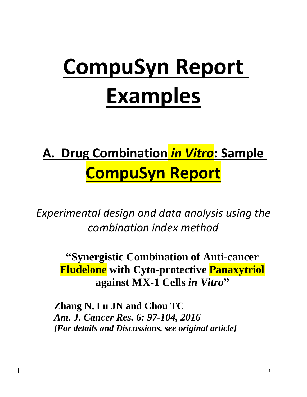# **CompuSyn Report Examples**

## **A. Drug Combination** *in Vitro***: Sample CompuSyn Report**

*Experimental design and data analysis using the combination index method* 

**"Synergistic Combination of Anti-cancer Fludelone with Cyto-protective Panaxytriol against MX-1 Cells** *in Vitro***"**

**Zhang N, Fu JN and Chou TC**  *Am. J. Cancer Res. 6: 97-104, 2016 [For details and Discussions, see original article]*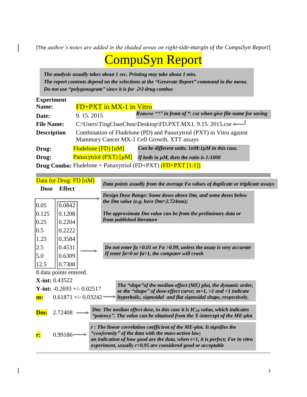[The *author's notes are added in the shaded areas on right-side-margin of the CompuSyn Report*]

### CompuSyn Report

*The analysis usually takes about 1 sec. Printing may take about 1 min. The report contents depend on the selections at the "Generate Report" command in the menu. Do not use "polygonogram" since it is for ≥3 drug combos* 

| <b>Experiment</b>  |                                                                                                                     |                                                                      |  |  |
|--------------------|---------------------------------------------------------------------------------------------------------------------|----------------------------------------------------------------------|--|--|
| Name:              | FD+PXT in MX-1 in Vitro                                                                                             |                                                                      |  |  |
| Date:              | 9.15.2015                                                                                                           | Remove "*" in front of *. cse when give file name for saving         |  |  |
| <b>File Name:</b>  |                                                                                                                     | C:\Users\TingChaoChou\Desktop\FD.PXT.MX1. 9.15. 2015.cse <           |  |  |
| <b>Description</b> | Combination of Fludelone (PD) and Panaxytriol (PXT) in Vitro against<br>Mammary Cancer MX-1 Cell Growth, XTT assays |                                                                      |  |  |
| Drug:              | $Fludelone$ $(FD)$ $[nM]$                                                                                           | Can be different units. $lnM:1\mu M$ in this case.                   |  |  |
| Drug:              | <b>Panaxytriol (PXT)</b> [µM]                                                                                       | If both in $\mu$ M, then the ratio is 1:1000                         |  |  |
|                    |                                                                                                                     | <b>Drug Combo:</b> Fludelone + Panaxytriol (FD+PXT) $(FD+PXT [1:1])$ |  |  |

|             | Data for Drug: FD [nM]                                                                                                                                                                                                                                                                       |  |  |  | Data points usually from the average Fa values of duplicate or triplicate assays                                                                            |
|-------------|----------------------------------------------------------------------------------------------------------------------------------------------------------------------------------------------------------------------------------------------------------------------------------------------|--|--|--|-------------------------------------------------------------------------------------------------------------------------------------------------------------|
| <b>Dose</b> | <b>Effect</b>                                                                                                                                                                                                                                                                                |  |  |  |                                                                                                                                                             |
|             |                                                                                                                                                                                                                                                                                              |  |  |  | Design Dose Range: Some doses above Dm, and some doses below                                                                                                |
| 0.05        | 0.0842                                                                                                                                                                                                                                                                                       |  |  |  | the Dm value (e.g. here $Dm=2.724nm$ );                                                                                                                     |
| 0.125       | 0.1208                                                                                                                                                                                                                                                                                       |  |  |  | The approximate Dm value can be from the preliminary data or                                                                                                |
| 0.25        | 0.2204                                                                                                                                                                                                                                                                                       |  |  |  | from published literature                                                                                                                                   |
| 0.5         | 0.2222                                                                                                                                                                                                                                                                                       |  |  |  |                                                                                                                                                             |
| 1.25        | 0.3584                                                                                                                                                                                                                                                                                       |  |  |  |                                                                                                                                                             |
| 2.5         | 0.4531                                                                                                                                                                                                                                                                                       |  |  |  | Do not enter fa < 0.01 or $Fa > 0.99$ , unless the assay is very accurate                                                                                   |
| 5.0         | 0.6309                                                                                                                                                                                                                                                                                       |  |  |  | If enter $fa=0$ or $fa=1$ , the computer will crash                                                                                                         |
| 12.5        | 0.7308                                                                                                                                                                                                                                                                                       |  |  |  |                                                                                                                                                             |
|             | 8 data points entered.                                                                                                                                                                                                                                                                       |  |  |  |                                                                                                                                                             |
|             | <b>X-int: 0.43522</b>                                                                                                                                                                                                                                                                        |  |  |  |                                                                                                                                                             |
|             | Y-int: $-0.2693 + (-0.02517)$                                                                                                                                                                                                                                                                |  |  |  | The "slope" of the median-effect (ME) plot, the dynamic order,<br>or the "shape" of dose-effect curve; $m=1$ , $>1$ and $<1$ indicate                       |
| m:          | $0.61871 +/- 0.03242$                                                                                                                                                                                                                                                                        |  |  |  | hyperbolic, sigmoidal and flat sigmoidal shape, respectively.                                                                                               |
| Dm:         | 2.72408                                                                                                                                                                                                                                                                                      |  |  |  | Dm: The median effect dose, in this case it is $IC_{50}$ value, which indicates<br>"potency". The value can be obtained from the X-intercept of the ME-plot |
| r:          | r : The linear correlation coefficient of the ME-plot. It signifies the<br>"conformity" of the data with the mass-action law;<br>0.99186<br>an indication of how good are the data, when $r=1$ , it is perfect; For in vitro<br>experiment, usually r>0.95 are considered good or acceptable |  |  |  |                                                                                                                                                             |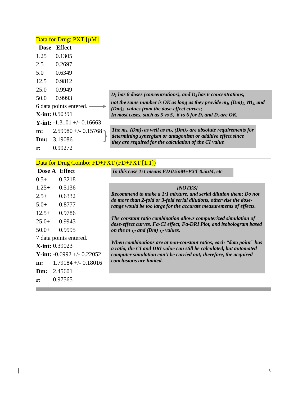|      | Data for Drug: PXT [µM]               |                                                                                                                                |
|------|---------------------------------------|--------------------------------------------------------------------------------------------------------------------------------|
| Dose | Effect                                |                                                                                                                                |
| 1.25 | 0.1305                                |                                                                                                                                |
| 2.5  | 0.2697                                |                                                                                                                                |
| 5.0  | 0.6349                                |                                                                                                                                |
| 12.5 | 0.9812                                |                                                                                                                                |
| 25.0 | 0.9949                                |                                                                                                                                |
| 50.0 | 0.9993                                | $D_1$ has 8 doses (concentrations), and $D_2$ has 6 concentrations,                                                            |
|      | 6 data points entered.                | not the same number is OK as long as they provide $m_l$ , $(Dm)_l$ , $m_2$ and<br>$(Dm)_2$ values from the dose-effect curves; |
|      | <b>X-int:</b> 0.50391                 | In most cases, such as 5 vs 5, 6 vs 6 for $D_1$ and $D_2$ are OK.                                                              |
|      | <b>Y</b> -int: $-1.3101 + (-0.16663)$ |                                                                                                                                |
| m:   | $2.59980 +/- 0.15768$ ך 2.59980       | The $m_l$ , $(Dm)_l$ as well as $m_2$ , $(Dm)_2$ are absolute requirements for                                                 |
| Dm:  | 3.19086                               | determining synergism or antagonism or additive effect since<br>they are required for the calculation of the CI value          |
| r:   | 0.99272                               |                                                                                                                                |

|  |  | Data for Drug Combo: FD+PXT (FD+PXT [1:1]) |
|--|--|--------------------------------------------|
|--|--|--------------------------------------------|

in 19

|                       | Dose A Effect                 | In this case 1:1 means $FD\ 0.5nM+PXT\ 0.5uM$ , etc                                                                                         |
|-----------------------|-------------------------------|---------------------------------------------------------------------------------------------------------------------------------------------|
| $0.5+$                | 0.3218                        |                                                                                                                                             |
| $1.25+$               | 0.5136                        | [NOTES]                                                                                                                                     |
| $2.5+$                | 0.6332                        | Recommend to make a 1:1 mixture, and serial dilution them; Do not                                                                           |
| $5.0+$                | 0.8777                        | do more than 2-fold or 3-fold serial dilutions, otherwise the dose-<br>range would be too large for the accurate measurements of effects.   |
| $12.5+$               | 0.9786                        |                                                                                                                                             |
| $25.0+$               | 0.9943                        | The constant ratio combination allows computerized simulation of<br>dose-effect curves, Fa-CI effect, Fa-DRI Plot, and isobologram based    |
| $50.0+$               | 0.9995                        | on the $m_{1,2}$ and (Dm) $_{1,2}$ values.                                                                                                  |
|                       | 7 data points entered.        |                                                                                                                                             |
| <b>X-int: 0.39023</b> |                               | When combinations are at non-constant ratios, each "data point" has<br>a ratio, the CI and DRI value can still be calculated, but automated |
|                       | Y-int: $-0.6992 + (-0.22052)$ | computer simulation can't be carried out; therefore, the acquired                                                                           |
| m:                    | $1.79184 + -0.18016$          | conclusions are limited.                                                                                                                    |
| Dm:                   | 2.45601                       |                                                                                                                                             |
| r:                    | 0.97565                       |                                                                                                                                             |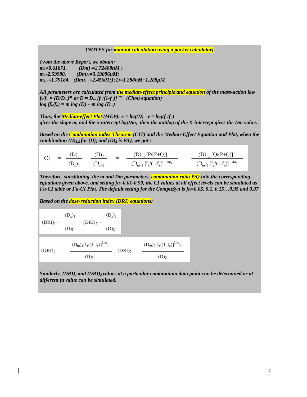*[NOTES for manual calculation using a pocket calculator]*

*From the above Report, we obtain: m1=0.61871, (Dm)1=2.72408nM ; m2=2.59980, (Dm)2=3.19086µM; m1,2=1.79184, (Dm)1,2=2.45601(1:1)=1.288nM+1.288µM*

*All parameters are calculated from the median-effect principle and equation of the mass-action law*  $f_a/f_u = (D/D_m)^m$  or  $D = D_m$   $[f_a/(1-f_u)]^{1/m}$  (Chou equation)  $log(f_a/f_u) = m log(D) - m log(D_m)$ 

*Thus, the Median-effect Plot* (MEP):  $x = log(D)$   $y = log(f_a/f_u)$ *gives the slope m, and the x-intercept logDm, then the antilog of the X-intercept gives the Dm value.*

*Based on the Combination index Theorem (CIT) and the Median-Effect Equation and Plot, when the combination*  $(D)_{1,2}$  *for*  $(D)_{1}$  *and*  $(D)_{2}$  *is P/Q, we got :* 

 $CI = \frac{(D)_1}{(D_x)_1} + \frac{(D)_2}{(D_x)_2} = \frac{(D)_{1,2}[P/(P+Q)]}{(D_m)_1 [f_a/(1-f_a)]^{1/m_1}} + \frac{(D)_{1,2}[Q/(P+Q)]}{(D_m)_2 [f_a/(1-f_a)]^{1/m_2}}$ 

*Therefore, substituting, the m and Dm parameters, combination ratio P/Q into the corresponding equations given above, and setting fa=0.01-0.99, the CI values at all effect levels can be simulated as Fa-CI table or Fa-CI Plot. The default setting for the CompuSyn is fa=0.05, 0.1, 0.15…0.95 and 0.97*

*Based on the dose-reduction index (DRI) equations:* 

$$
(DRI)_1 = \begin{array}{c} (D_x)_1 \\ \hline \\ (D)_1 \end{array} \; , \;\; (DRI)_2 \; = \; \frac{(D_x)_2}{(D)_2}
$$

$$
(DRI)_1 \hspace{2mm} = \hspace{2mm} \frac{(D_m)_1 [f_a/(1-f_a)]^{1/m}{}_1}{(D)_1} \; , \; (DRI)_2 \hspace{2mm} = \hspace{2mm} \frac{(D_m)_2 [f_a/(1-f_a)]^{1/m}{}_2}{(D)_2} \; .
$$

*Similarly, (DRI)1 and (DRI)2 values at a particular combination data point can be determined or at different fa value can be simulated.*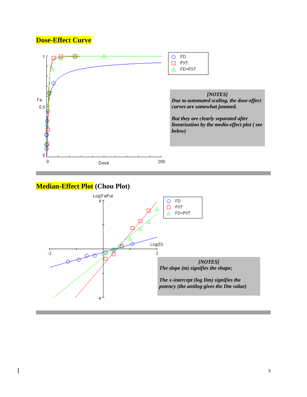#### **Dose-Effect Curve**



#### **Median-Effect Plot (Chou Plot)**

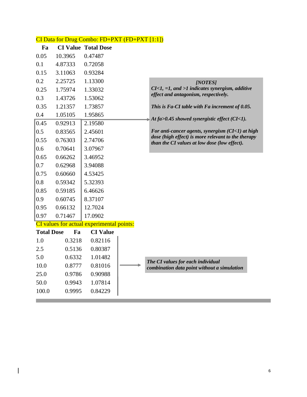|                   |         | CI Data for Drug Combo: FD+PXT (FD+PXT [1:1]) |                                                                                                    |
|-------------------|---------|-----------------------------------------------|----------------------------------------------------------------------------------------------------|
| Fa                |         | <b>CI Value Total Dose</b>                    |                                                                                                    |
| 0.05              | 10.3965 | 0.47487                                       |                                                                                                    |
| 0.1               | 4.87333 | 0.72058                                       |                                                                                                    |
| 0.15              | 3.11063 | 0.93284                                       |                                                                                                    |
| 0.2               | 2.25725 | 1.13300                                       | [NOTES]                                                                                            |
| 0.25              | 1.75974 | 1.33032                                       | $CI<1$ , =1, and >1 indicates synergism, additive                                                  |
| 0.3               | 1.43726 | 1.53062                                       | effect and antagonism, respectively.                                                               |
| 0.35              | 1.21357 | 1.73857                                       | This is Fa-CI table with Fa increment of 0.05.                                                     |
| 0.4               | 1.05105 | 1.95865                                       | At $fa > 0.45$ showed synergistic effect (CI<1).                                                   |
| 0.45              | 0.92913 | 2.19580                                       |                                                                                                    |
| 0.5               | 0.83565 | 2.45601                                       | For anti-cancer agents, synergism $(CI<1)$ at high                                                 |
| 0.55              | 0.76303 | 2.74706                                       | dose (high effect) is more relevant to the therapy<br>than the CI values at low dose (low effect). |
| 0.6               | 0.70641 | 3.07967                                       |                                                                                                    |
| 0.65              | 0.66262 | 3.46952                                       |                                                                                                    |
| 0.7               | 0.62968 | 3.94088                                       |                                                                                                    |
| 0.75              | 0.60660 | 4.53425                                       |                                                                                                    |
| 0.8               | 0.59342 | 5.32393                                       |                                                                                                    |
| 0.85              | 0.59185 | 6.46626                                       |                                                                                                    |
| 0.9               | 0.60745 | 8.37107                                       |                                                                                                    |
| 0.95              | 0.66132 | 12.7024                                       |                                                                                                    |
| 0.97              | 0.71467 | 17.0902                                       |                                                                                                    |
|                   |         | CI values for actual experimental points:     |                                                                                                    |
| <b>Total Dose</b> | Fa      | <b>CI</b> Value                               |                                                                                                    |
| 1.0               | 0.3218  | 0.82116                                       |                                                                                                    |
| 2.5               | 0.5136  | 0.80387                                       |                                                                                                    |
| 5.0               | 0.6332  | 1.01482                                       | The CI values for each individual                                                                  |
| 10.0              | 0.8777  | 0.81016                                       | combination data point without a simulation                                                        |
| 25.0              | 0.9786  | 0.90988                                       |                                                                                                    |
| 50.0              | 0.9943  | 1.07814                                       |                                                                                                    |
| 100.0             | 0.9995  | 0.84229                                       |                                                                                                    |

and the contract of the contract of the contract of the contract of the contract of the contract of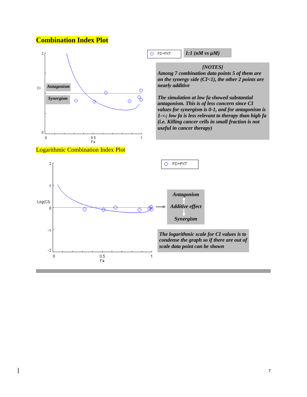#### **Combination Index Plot**

 $Log(Cl)$  $\overline{0}$ 

 $-1$ 

 $-2$  $\boldsymbol{0}$  Õ

 $0.5\,$ 

Fa



٥

 $\overline{1}$ 

*antagonism. This is of less concern since CI values for synergism is 0-1, and for antagonism is 1-∞; low fa is less relevant to therapy than high fa (i.e. Killing cancer cells in small fraction is not useful in cancer therapy)*

*The logarithmic scale for CI values is to condense the graph so if there are out of scale data point can be shown*

*Additive effect*

*Synergism*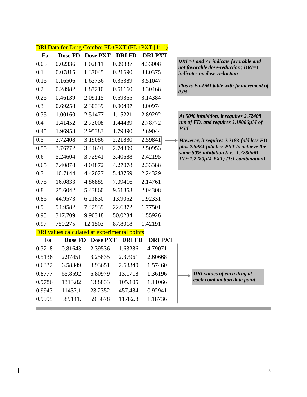|        |         |                                                     |              | <b>DRI Data for Drug Combo: FD+PXT (FD+PXT [1:1])</b> |                                                                                 |
|--------|---------|-----------------------------------------------------|--------------|-------------------------------------------------------|---------------------------------------------------------------------------------|
| Fa     | Dose FD | <b>Dose PXT</b>                                     | <b>DRIFD</b> | <b>DRIPXT</b>                                         |                                                                                 |
| 0.05   | 0.02336 | 1.02811                                             | 0.09837      | 4.33008                                               | DRI >1 and <1 indicate favorable and<br>not favorable dose-reduction; DRI=1     |
| 0.1    | 0.07815 | 1.37045                                             | 0.21690      | 3.80375                                               | indicates no dose-reduction                                                     |
| 0.15   | 0.16506 | 1.63736                                             | 0.35389      | 3.51047                                               |                                                                                 |
| 0.2    | 0.28982 | 1.87210                                             | 0.51160      | 3.30468                                               | This is Fa-DRI table with fa increment of<br>0.05                               |
| 0.25   | 0.46139 | 2.09115                                             | 0.69365      | 3.14384                                               |                                                                                 |
| 0.3    | 0.69258 | 2.30339                                             | 0.90497      | 3.00974                                               |                                                                                 |
| 0.35   | 1.00160 | 2.51477                                             | 1.15221      | 2.89292                                               | At 50% inhibition, it requires 2.72408                                          |
| 0.4    | 1.41452 | 2.73008                                             | 1.44439      | 2.78772                                               | nm of FD, and requires 3.19086µM of                                             |
| 0.45   | 1.96953 | 2.95383                                             | 1.79390      | 2.69044                                               | <b>PXT</b>                                                                      |
| 0.5    | 2.72408 | 3.19086                                             | 2.21830      | 2.59841                                               | However, it requires 2.2183-fold less FD                                        |
| 0.55   | 3.76772 | 3.44691                                             | 2.74309      | 2.50953                                               | plus 2.5984-fold less PXT to achieve the<br>same 50% inhibition (i.e., 1.2280nM |
| 0.6    | 5.24604 | 3.72941                                             | 3.40688      | 2.42195                                               | $FD+1.2280 \mu M$ PXT) (1:1 combination)                                        |
| 0.65   | 7.40878 | 4.04872                                             | 4.27078      | 2.33388                                               |                                                                                 |
| 0.7    | 10.7144 | 4.42027                                             | 5.43759      | 2.24329                                               |                                                                                 |
| 0.75   | 16.0833 | 4.86889                                             | 7.09416      | 2.14761                                               |                                                                                 |
| 0.8    | 25.6042 | 5.43860                                             | 9.61853      | 2.04308                                               |                                                                                 |
| 0.85   | 44.9573 | 6.21830                                             | 13.9052      | 1.92331                                               |                                                                                 |
| 0.9    | 94.9582 | 7.42939                                             | 22.6872      | 1.77501                                               |                                                                                 |
| 0.95   | 317.709 | 9.90318                                             | 50.0234      | 1.55926                                               |                                                                                 |
| 0.97   | 750.275 | 12.1503                                             | 87.8018      | 1.42191                                               |                                                                                 |
|        |         | <b>DRI</b> values calculated at experimental points |              |                                                       |                                                                                 |
| Fa     | Dose FD | <b>Dose PXT</b>                                     | <b>DRIFD</b> | <b>DRIPXT</b>                                         |                                                                                 |
| 0.3218 | 0.81643 | 2.39536                                             | 1.63286      | 4.79071                                               |                                                                                 |
| 0.5136 | 2.97451 | 3.25835                                             | 2.37961      | 2.60668                                               |                                                                                 |
| 0.6332 | 6.58349 | 3.93651                                             | 2.63340      | 1.57460                                               |                                                                                 |
| 0.8777 | 65.8592 | 6.80979                                             | 13.1718      | 1.36196                                               | <b>DRI</b> values of each drug at                                               |
| 0.9786 | 1313.82 | 13.8833                                             | 105.105      | 1.11066                                               | each combination data point                                                     |
| 0.9943 | 11437.1 | 23.2352                                             | 457.484      | 0.92941                                               |                                                                                 |
| 0.9995 | 589141. | 59.3678                                             | 11782.8      | 1.18736                                               |                                                                                 |

**Tara**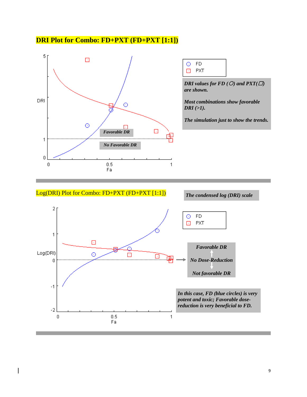#### **DRI Plot for Combo: FD+PXT (FD+PXT [1:1])**





*DRI values for FD (* $O$ *) and*  $PXT(\Box)$ *are shown.*

*Most combinations show favorable DRI (>1).*

*The simulation just to show the trends.*

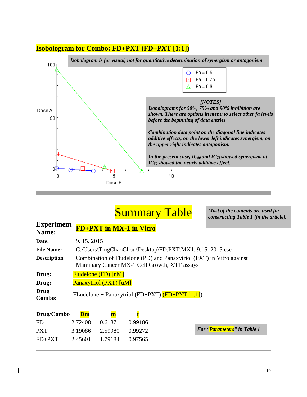#### **Isobologram for Combo: FD+PXT (FD+PXT [1:1])**



### **Summary Table**

*Most of the contents are used for constructing Table 1 (in the article).*

| <b>Experiment</b><br>Name:             | <b>FD+PXT in MX-1 in Vitro</b>                                                                                      |
|----------------------------------------|---------------------------------------------------------------------------------------------------------------------|
| Date:                                  | 9.15.2015                                                                                                           |
| <b>File Name:</b>                      | C:\Users\TingChaoChou\Desktop\FD.PXT.MX1. 9.15. 2015.cse                                                            |
| <b>Description</b>                     | Combination of Fludelone (PD) and Panaxytriol (PXT) in Vitro against<br>Mammary Cancer MX-1 Cell Growth, XTT assays |
| Drug:                                  | Fludelone (FD) [nM]                                                                                                 |
| Drug:                                  | <b>Panaxytriol (PXT)</b> [uM]                                                                                       |
| <b>Drug</b><br>Combo:                  | FLudelone + Panaxytriol (FD+PXT) $(FD+PXT [1:1])$                                                                   |
| Drug/Combo<br>$\overline{\phantom{a}}$ | $\mathbf{Dm}$<br>$\mathbf m$<br>. <i>.</i>                                                                          |

| Drug/Combo Dm |         | m                       |         |
|---------------|---------|-------------------------|---------|
| -FD           | 2.72408 | 0.61871                 | 0.99186 |
| <b>PXT</b>    |         | 3.19086 2.59980 0.99272 |         |
| $FD+PXT$      |         | 2.45601 1.79184 0.97565 |         |